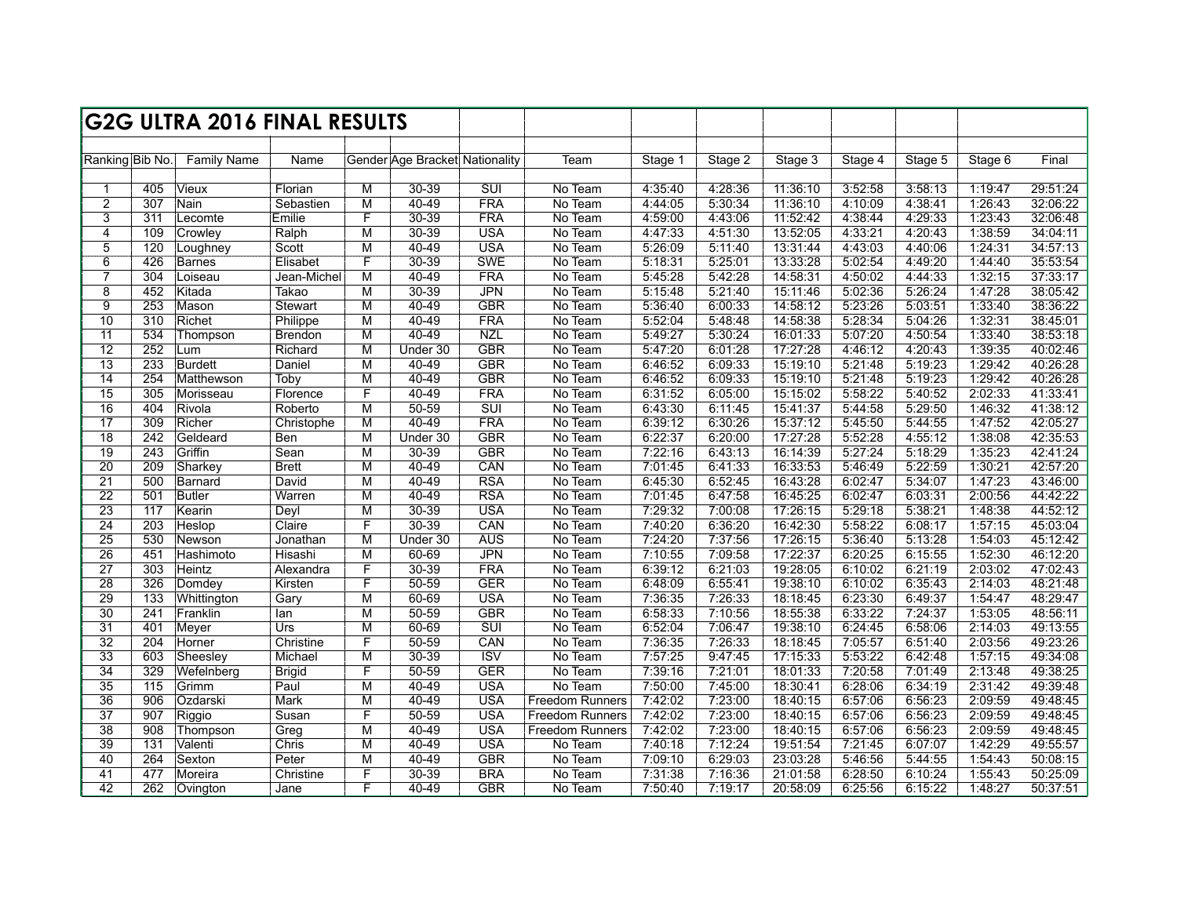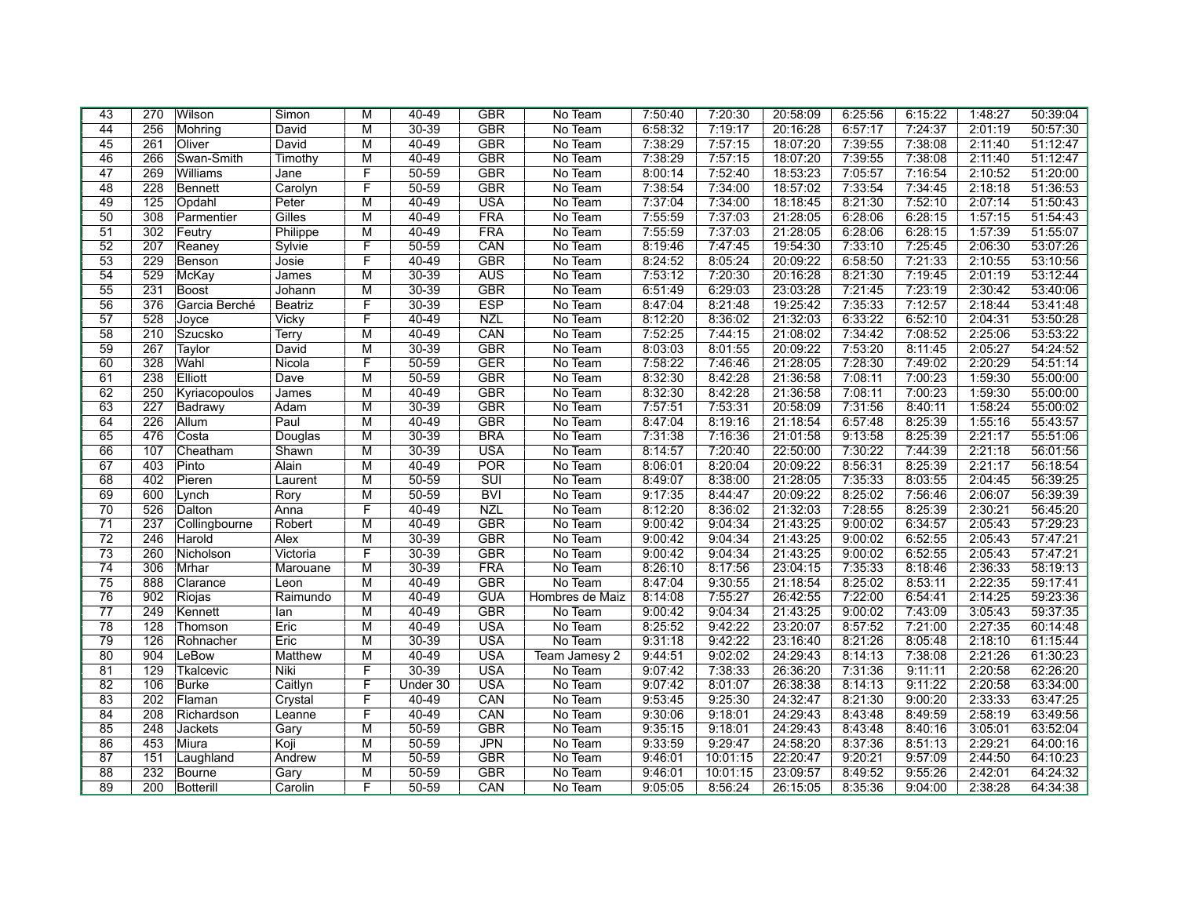| 43              | 270 | Wilson         | Simon          | М | $40 - 49$ | <b>GBR</b>              | No Team         | 7:50:40 | 7:20:30  | 20:58:09 | 6:25:56 | 6:15:22 | 1:48:27 | 50:39:04 |
|-----------------|-----|----------------|----------------|---|-----------|-------------------------|-----------------|---------|----------|----------|---------|---------|---------|----------|
| 44              | 256 | Mohring        | David          | М | 30-39     | <b>GBR</b>              | No Team         | 6:58:32 | 7:19:17  | 20:16:28 | 6:57:17 | 7:24:37 | 2:01:19 | 50:57:30 |
| 45              | 261 | Oliver         | David          | М | 40-49     | <b>GBR</b>              | No Team         | 7:38:29 | 7:57:15  | 18:07:20 | 7:39:55 | 7:38:08 | 2:11:40 | 51:12:47 |
| 46              | 266 | Swan-Smith     | Timothy        | M | 40-49     | <b>GBR</b>              | No Team         | 7:38:29 | 7:57:15  | 18:07:20 | 7:39:55 | 7:38:08 | 2:11:40 | 51:12:47 |
| 47              | 269 | Williams       | Jane           | F | $50 - 59$ | <b>GBR</b>              | No Team         | 8:00:14 | 7:52:40  | 18:53:23 | 7:05:57 | 7:16:54 | 2:10:52 | 51:20:00 |
| 48              | 228 | <b>Bennett</b> | Carolyn        | F | $50 - 59$ | <b>GBR</b>              | No Team         | 7:38:54 | 7:34:00  | 18:57:02 | 7:33:54 | 7:34:45 | 2:18:18 | 51:36:53 |
| 49              | 125 | Opdahl         | Peter          | М | $40 - 49$ | <b>USA</b>              | No Team         | 7:37:04 | 7:34:00  | 18:18:45 | 8:21:30 | 7:52:10 | 2:07:14 | 51:50:43 |
| 50              | 308 | Parmentier     | Gilles         | M | $40 - 49$ | <b>FRA</b>              | No Team         | 7:55:59 | 7:37:03  | 21:28:05 | 6:28:06 | 6:28:15 | 1:57:15 | 51:54:43 |
| 51              | 302 | Feutry         | Philippe       | М | $40 - 49$ | <b>FRA</b>              | No Team         | 7:55:59 | 7:37:03  | 21:28:05 | 6:28:06 | 6:28:15 | 1:57:39 | 51:55:07 |
| 52              | 207 | Reaney         | Sylvie         | F | $50 - 59$ | CAN                     | No Team         | 8:19:46 | 7:47:45  | 19:54:30 | 7:33:10 | 7:25:45 | 2:06:30 | 53:07:26 |
| 53              | 229 | Benson         | Josie          | F | 40-49     | <b>GBR</b>              | No Team         | 8:24:52 | 8:05:24  | 20:09:22 | 6:58:50 | 7:21:33 | 2:10:55 | 53:10:56 |
| 54              | 529 | McKay          | James          | М | 30-39     | <b>AUS</b>              | No Team         | 7:53:12 | 7:20:30  | 20:16:28 | 8:21:30 | 7:19:45 | 2:01:19 | 53:12:44 |
| 55              | 231 | <b>Boost</b>   | Johann         | М | $30 - 39$ | <b>GBR</b>              | No Team         | 6:51:49 | 6:29:03  | 23:03:28 | 7:21:45 | 7:23:19 | 2:30:42 | 53:40:06 |
| 56              | 376 | Garcia Berché  | <b>Beatriz</b> | F | $30 - 39$ | <b>ESP</b>              | No Team         | 8:47:04 | 8:21:48  | 19:25:42 | 7:35:33 | 7:12:57 | 2:18:44 | 53:41:48 |
| 57              | 528 | Joyce          | Vicky          | F | $40 - 49$ | <b>NZL</b>              | No Team         | 8:12:20 | 8:36:02  | 21:32:03 | 6:33:22 | 6:52:10 | 2:04:31 | 53:50:28 |
| 58              | 210 | Szucsko        | Terry          | M | 40-49     | CAN                     | No Team         | 7:52:25 | 7:44:15  | 21:08:02 | 7:34:42 | 7:08:52 | 2:25:06 | 53:53:22 |
| 59              | 267 | Taylor         | David          | М | $30 - 39$ | <b>GBR</b>              | No Team         | 8:03:03 | 8:01:55  | 20:09:22 | 7:53:20 | 8:11:45 | 2:05:27 | 54:24:52 |
| 60              | 328 | Wahl           | Nicola         | F | $50 - 59$ | GER                     | No Team         | 7:58:22 | 7:46:46  | 21:28:05 | 7:28:30 | 7:49:02 | 2:20:29 | 54:51:14 |
| 61              | 238 | Elliott        | Dave           | М | $50 - 59$ | <b>GBR</b>              | No Team         | 8:32:30 | 8:42:28  | 21:36:58 | 7:08:11 | 7:00:23 | 1:59:30 | 55:00:00 |
| 62              | 250 | Kyriacopoulos  | James          | М | $40 - 49$ | <b>GBR</b>              | No Team         | 8:32:30 | 8:42:28  | 21:36:58 | 7:08:11 | 7:00:23 | 1:59:30 | 55:00:00 |
| 63              | 227 | Badrawy        | Adam           | М | $30 - 39$ | <b>GBR</b>              | No Team         | 7:57:51 | 7:53:31  | 20:58:09 | 7:31:56 | 8:40:11 | 1:58:24 | 55:00:02 |
| 64              | 226 | Allum          | Paul           | M | $40 - 49$ | <b>GBR</b>              | No Team         | 8:47:04 | 8:19:16  | 21:18:54 | 6:57:48 | 8:25:39 | 1:55:16 | 55:43:57 |
| 65              | 476 | Costa          | Douglas        | М | $30 - 39$ | <b>BRA</b>              | No Team         | 7:31:38 | 7:16:36  | 21:01:58 | 9:13:58 | 8:25:39 | 2:21:17 | 55:51:06 |
| 66              | 107 | Cheatham       | Shawn          | M | $30 - 39$ | <b>USA</b>              | No Team         | 8:14:57 | 7:20:40  | 22:50:00 | 7:30:22 | 7:44:39 | 2:21:18 | 56:01:56 |
| 67              | 403 | Pinto          | Alain          | М | $40 - 49$ | POR                     | No Team         | 8:06:01 | 8:20:04  | 20:09:22 | 8:56:31 | 8:25:39 | 2:21:17 | 56:18:54 |
| 68              | 402 | Pieren         | Laurent        | М | $50 - 59$ | $\overline{\text{SUI}}$ | No Team         | 8:49:07 | 8:38:00  | 21:28:05 | 7:35:33 | 8:03:55 | 2:04:45 | 56:39:25 |
| 69              | 600 | Lynch          | Rory           | М | $50 - 59$ | <b>BVI</b>              | No Team         | 9:17:35 | 8:44:47  | 20:09:22 | 8:25:02 | 7:56:46 | 2:06:07 | 56:39:39 |
| 70              | 526 | Dalton         | Anna           | F | $40 - 49$ | <b>NZL</b>              | No Team         | 8:12:20 | 8:36:02  | 21:32:03 | 7:28:55 | 8:25:39 | 2:30:21 | 56:45:20 |
| $\overline{71}$ | 237 | Collingbourne  | Robert         | M | $40 - 49$ | <b>GBR</b>              | No Team         | 9:00:42 | 9:04:34  | 21:43:25 | 9:00:02 | 6:34:57 | 2:05:43 | 57:29:23 |
| $\overline{72}$ | 246 | Harold         | Alex           | М | $30 - 39$ | <b>GBR</b>              | No Team         | 9:00:42 | 9:04:34  | 21:43:25 | 9:00:02 | 6:52:55 | 2:05:43 | 57:47:21 |
| $\overline{73}$ | 260 | Nicholson      | Victoria       | F | 30-39     | <b>GBR</b>              | No Team         | 9:00:42 | 9:04:34  | 21:43:25 | 9:00:02 | 6:52:55 | 2:05:43 | 57:47:21 |
| 74              | 306 | Mrhar          | Marouane       | М | $30 - 39$ | <b>FRA</b>              | No Team         | 8:26:10 | 8:17:56  | 23:04:15 | 7:35:33 | 8:18:46 | 2:36:33 | 58:19:13 |
| $\overline{75}$ | 888 | Clarance       | Leon           | М | $40 - 49$ | <b>GBR</b>              | No Team         | 8:47:04 | 9:30:55  | 21:18:54 | 8:25:02 | 8:53:11 | 2:22:35 | 59:17:41 |
| 76              | 902 | Riojas         | Raimundo       | M | $40 - 49$ | <b>GUA</b>              | Hombres de Maiz | 8:14:08 | 7:55:27  | 26:42:55 | 7:22:00 | 6:54:41 | 2:14:25 | 59:23:36 |
| 77              | 249 | Kennett        | lan            | M | $40 - 49$ | <b>GBR</b>              | No Team         | 9:00:42 | 9:04:34  | 21:43:25 | 9:00:02 | 7:43:09 | 3:05:43 | 59:37:35 |
| 78              | 128 | Thomson        | Eric           | M | $40 - 49$ | <b>USA</b>              | No Team         | 8:25:52 | 9:42:22  | 23:20:07 | 8:57:52 | 7:21:00 | 2:27:35 | 60:14:48 |
| 79              | 126 | Rohnacher      | Eric           | M | $30 - 39$ | <b>USA</b>              | No Team         | 9:31:18 | 9:42:22  | 23:16:40 | 8:21:26 | 8:05:48 | 2:18:10 | 61:15:44 |
| 80              | 904 | LeBow          | Matthew        | M | 40-49     | <b>USA</b>              | Team Jamesy 2   | 9:44:51 | 9:02:02  | 24:29:43 | 8:14:13 | 7:38:08 | 2:21:26 | 61:30:23 |
| 81              | 129 | Tkalcevic      | Niki           | F | $30 - 39$ | <b>USA</b>              | No Team         | 9:07:42 | 7:38:33  | 26:36:20 | 7:31:36 | 9:11:11 | 2:20:58 | 62:26:20 |
| 82              | 106 | <b>Burke</b>   | Caitlyn        | F | Under 30  | <b>USA</b>              | No Team         | 9:07:42 | 8:01:07  | 26:38:38 | 8:14:13 | 9:11:22 | 2:20:58 | 63:34:00 |
| 83              | 202 | Flaman         | Crystal        | F | 40-49     | CAN                     | No Team         | 9:53:45 | 9:25:30  | 24:32:47 | 8:21:30 | 9:00:20 | 2:33:33 | 63:47:25 |
| 84              | 208 | Richardson     | Leanne         | F | $40 - 49$ | CAN                     | No Team         | 9:30:06 | 9:18:01  | 24:29:43 | 8:43:48 | 8:49:59 | 2:58:19 | 63:49:56 |
| 85              | 248 | Jackets        | Gary           | M | $50 - 59$ | <b>GBR</b>              | No Team         | 9:35:15 | 9:18:01  | 24:29:43 | 8:43:48 | 8:40:16 | 3:05:01 | 63:52:04 |
| 86              | 453 | Miura          | Koji           | М | 50-59     | <b>JPN</b>              | No Team         | 9:33:59 | 9:29:47  | 24:58:20 | 8:37:36 | 8:51:13 | 2:29:21 | 64:00:16 |
| 87              | 151 | Laughland      | Andrew         | М | $50 - 59$ | <b>GBR</b>              | No Team         | 9:46:01 | 10:01:15 | 22:20:47 | 9:20:21 | 9:57:09 | 2:44:50 | 64:10:23 |
| 88              | 232 | Bourne         | Gary           | М | $50 - 59$ | <b>GBR</b>              | No Team         | 9:46:01 | 10:01:15 | 23:09:57 | 8:49:52 | 9:55:26 | 2:42:01 | 64:24:32 |
| 89              | 200 | Botterill      | Carolin        | F | $50 - 59$ | CAN                     | No Team         | 9:05:05 | 8:56:24  | 26:15:05 | 8:35:36 | 9:04:00 | 2:38:28 | 64:34:38 |